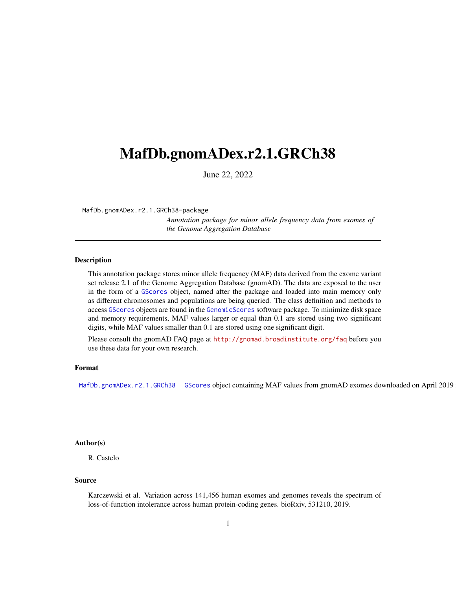# <span id="page-0-2"></span><span id="page-0-1"></span>MafDb.gnomADex.r2.1.GRCh38

June 22, 2022

MafDb.gnomADex.r2.1.GRCh38-package

*Annotation package for minor allele frequency data from exomes of the Genome Aggregation Database*

#### <span id="page-0-0"></span>Description

This annotation package stores minor allele frequency (MAF) data derived from the exome variant set release 2.1 of the Genome Aggregation Database (gnomAD). The data are exposed to the user in the form of a GScores object, named after the package and loaded into main memory only as different chromosomes and populations are being queried. The class definition and methods to access GScores objects are found in the GenomicScores software package. To minimize disk space and memory requirements, MAF values larger or equal than 0.1 are stored using two significant digits, while MAF values smaller than 0.1 are stored using one significant digit.

Please consult the gnomAD FAQ page at <http://gnomad.broadinstitute.org/faq> before you use these data for your own research.

## Format

[MafDb.gnomADex.r2.1.GRCh38](#page-0-0) GScores object containing MAF values from gnomAD exomes downloaded on April 2019

# Author(s)

R. Castelo

#### Source

Karczewski et al. Variation across 141,456 human exomes and genomes reveals the spectrum of loss-of-function intolerance across human protein-coding genes. bioRxiv, 531210, 2019.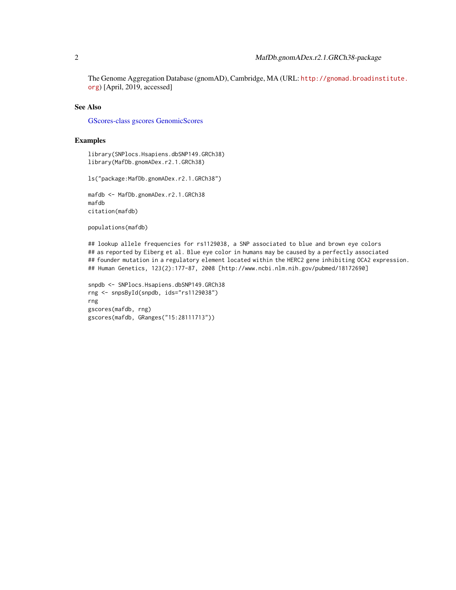<span id="page-1-0"></span>The Genome Aggregation Database (gnomAD), Cambridge, MA (URL: [http://gnomad.broadins](http://gnomad.broadinstitute.org)titute. [org](http://gnomad.broadinstitute.org)) [April, 2019, accessed]

# See Also

[GScores-class](#page-0-1) [gscores](#page-0-1) [GenomicScores](#page-0-1)

#### Examples

library(SNPlocs.Hsapiens.dbSNP149.GRCh38) library(MafDb.gnomADex.r2.1.GRCh38)

ls("package:MafDb.gnomADex.r2.1.GRCh38")

```
mafdb <- MafDb.gnomADex.r2.1.GRCh38
mafdb
citation(mafdb)
```
populations(mafdb)

## lookup allele frequencies for rs1129038, a SNP associated to blue and brown eye colors ## as reported by Eiberg et al. Blue eye color in humans may be caused by a perfectly associated ## founder mutation in a regulatory element located within the HERC2 gene inhibiting OCA2 expression. ## Human Genetics, 123(2):177-87, 2008 [http://www.ncbi.nlm.nih.gov/pubmed/18172690]

```
snpdb <- SNPlocs.Hsapiens.dbSNP149.GRCh38
rng <- snpsById(snpdb, ids="rs1129038")
rng
gscores(mafdb, rng)
gscores(mafdb, GRanges("15:28111713"))
```